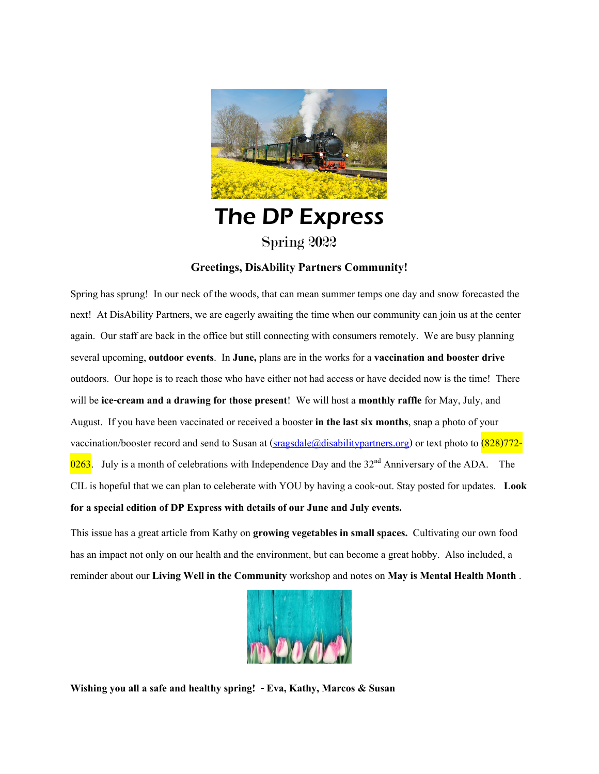

# The DP Express Spring 2022

#### **Greetings, DisAbility Partners Community!**

Spring has sprung! In our neck of the woods, that can mean summer temps one day and snow forecasted the next! At DisAbility Partners, we are eagerly awaiting the time when our community can join us at the center again. Our staff are back in the office but still connecting with consumers remotely. We are busy planning several upcoming, **outdoor events**. In **June,** plans are in the works for a **vaccination and booster drive**  outdoors. Our hope is to reach those who have either not had access or have decided now is the time! There will be **ice-cream and a drawing for those present**! We will host a **monthly raffle** for May, July, and August. If you have been vaccinated or received a booster **in the last six months**, snap a photo of your vaccination/booster record and send to Susan at  $(sragsdale@disability partners.org)$  or text photo to  $(828)772$ 0263. July is a month of celebrations with Independence Day and the  $32<sup>nd</sup>$  Anniversary of the ADA. The CIL is hopeful that we can plan to celeberate with YOU by having a cook-out. Stay posted for updates. **Look**  for a special edition of DP Express with details of our June and July events.

This issue has a great article from Kathy on **growing vegetables in small spaces.** Cultivating our own food has an impact not only on our health and the environment, but can become a great hobby. Also included, a reminder about our **Living Well in the Community** workshop and notes on **May is Mental Health Month** .



**Wishing you all a safe and healthy spring! - Eva, Kathy, Marcos & Susan**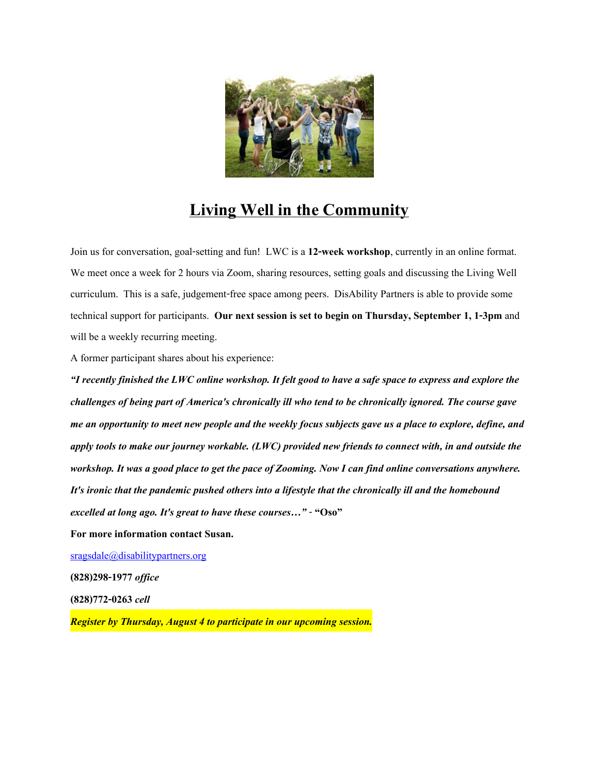

## **Living Well in the Community**

Join us for conversation, goal-setting and fun! LWC is a **12-week workshop**, currently in an online format. We meet once a week for 2 hours via Zoom, sharing resources, setting goals and discussing the Living Well curriculum. This is a safe, judgement-free space among peers. DisAbility Partners is able to provide some technical support for participants. **Our next session is set to begin on Thursday, September 1, 1-3pm** and will be a weekly recurring meeting.

A former participant shares about his experience:

*"I recently finished the LWC online workshop. It felt good to have a safe space to express and explore the challenges of being part of America's chronically ill who tend to be chronically ignored. The course gave me an opportunity to meet new people and the weekly focus subjects gave us a place to explore, define, and apply tools to make our journey workable. (LWC) provided new friends to connect with, in and outside the workshop. It was a good place to get the pace of Zooming. Now I can find online conversations anywhere. It's ironic that the pandemic pushed others into a lifestyle that the chronically ill and the homebound excelled at long ago. It's great to have these courses…"*- **"Oso"**

**For more information contact Susan.**

[sragsdale@disabilitypartners.org](mailto:sragsdale@disabilitypartners.org)

**(828)298-1977** *office*

**(828)772-0263** *cell*

*Register by Thursday, August 4 to participate in our upcoming session.*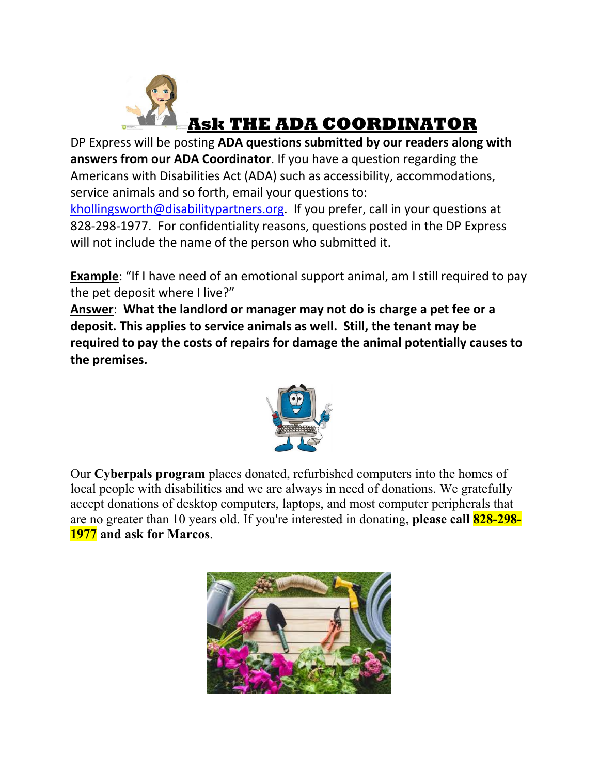

DP Express will be posting **ADA questions submitted by our readers along with answers from our ADA Coordinator**. If you have a question regarding the Americans with Disabilities Act (ADA) such as accessibility, accommodations, service animals and so forth, email your questions to:

[khollingsworth@disabilitypartners.org](mailto:khollingsworth@disabilitypartners.org). If you prefer, call in your questions at 828-298-1977. For confidentiality reasons, questions posted in the DP Express will not include the name of the person who submitted it.

**Example**: "If I have need of an emotional support animal, am I still required to pay the pet deposit where I live?"

**Answer**: **What the landlord or manager may not do is charge a pet fee or a deposit. This applies to service animals as well. Still, the tenant may be required to pay the costs of repairs for damage the animal potentially causes to the premises.**



Our **Cyberpals program** places donated, refurbished computers into the homes of local people with disabilities and we are always in need of donations. We gratefully accept donations of desktop computers, laptops, and most computer peripherals that are no greater than 10 years old. If you're interested in donating, **please call 828-298- 1977 and ask for Marcos**.

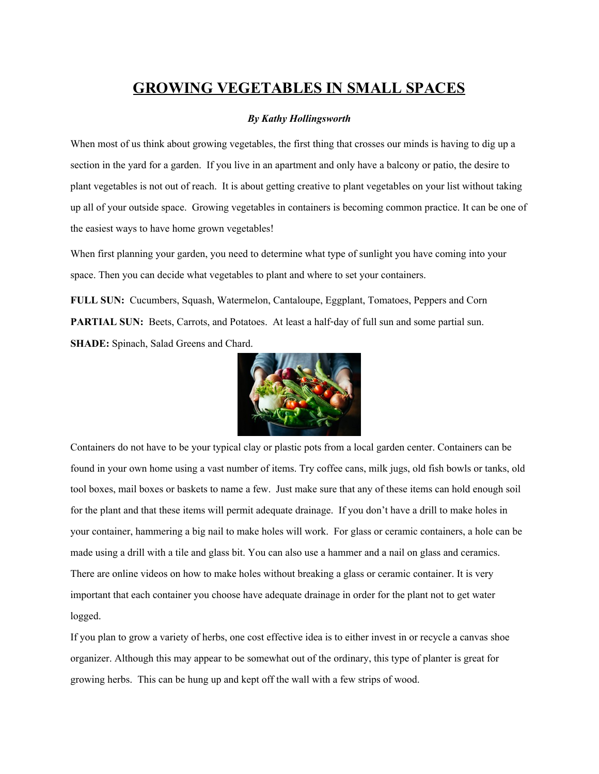### **GROWING VEGETABLES IN SMALL SPACES**

#### *By Kathy Hollingsworth*

When most of us think about growing vegetables, the first thing that crosses our minds is having to dig up a section in the yard for a garden. If you live in an apartment and only have a balcony or patio, the desire to plant vegetables is not out of reach. It is about getting creative to plant vegetables on your list without taking up all of your outside space. Growing vegetables in containers is becoming common practice. It can be one of the easiest ways to have home grown vegetables!

When first planning your garden, you need to determine what type of sunlight you have coming into your space. Then you can decide what vegetables to plant and where to set your containers.

**FULL SUN:** Cucumbers, Squash, Watermelon, Cantaloupe, Eggplant, Tomatoes, Peppers and Corn **PARTIAL SUN:** Beets, Carrots, and Potatoes. At least a half-day of full sun and some partial sun. **SHADE:** Spinach, Salad Greens and Chard.



Containers do not have to be your typical clay or plastic pots from a local garden center. Containers can be found in your own home using a vast number of items. Try coffee cans, milk jugs, old fish bowls or tanks, old tool boxes, mail boxes or baskets to name a few. Just make sure that any of these items can hold enough soil for the plant and that these items will permit adequate drainage. If you don't have a drill to make holes in your container, hammering a big nail to make holes will work. For glass or ceramic containers, a hole can be made using a drill with a tile and glass bit. You can also use a hammer and a nail on glass and ceramics. There are online videos on how to make holes without breaking a glass or ceramic container. It is very important that each container you choose have adequate drainage in order for the plant not to get water logged.

If you plan to grow a variety of herbs, one cost effective idea is to either invest in or recycle a canvas shoe organizer. Although this may appear to be somewhat out of the ordinary, this type of planter is great for growing herbs. This can be hung up and kept off the wall with a few strips of wood.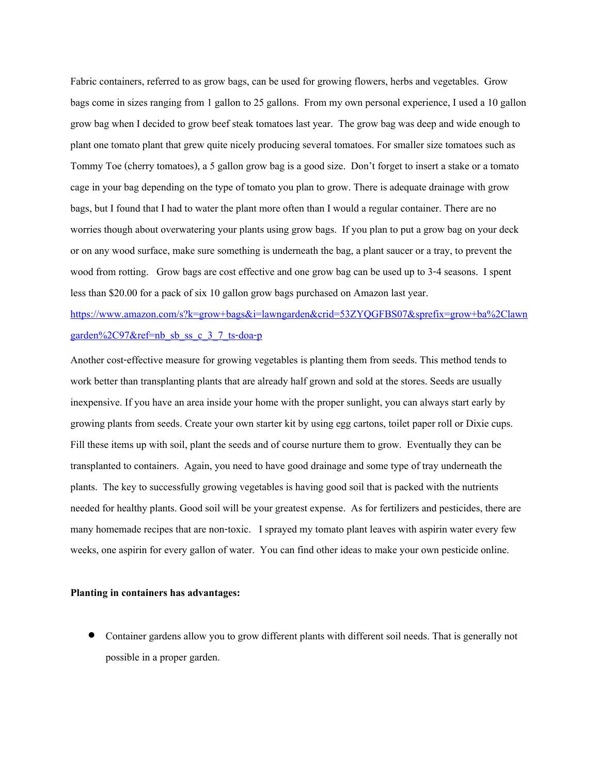Fabric containers, referred to as grow bags, can be used for growing flowers, herbs and vegetables. Grow bags come in sizes ranging from 1 gallon to 25 gallons. From my own personal experience, I used a 10 gallon grow bag when I decided to grow beef steak tomatoes last year. The grow bag was deep and wide enough to plant one tomato plant that grew quite nicely producing several tomatoes. For smaller size tomatoes such as Tommy Toe (cherry tomatoes), a 5 gallon grow bag is a good size. Don't forget to insert a stake or a tomato cage in your bag depending on the type of tomato you plan to grow. There is adequate drainage with grow bags, but I found that I had to water the plant more often than I would a regular container. There are no worries though about overwatering your plants using grow bags. If you plan to put a grow bag on your deck or on any wood surface, make sure something is underneath the bag, a plant saucer or a tray, to prevent the wood from rotting. Grow bags are cost effective and one grow bag can be used up to 3-4 seasons. I spent less than \$20.00 for a pack of six 10 gallon grow bags purchased on Amazon last year.

[https://www.amazon.com/s?k=grow+bags&i=lawngarden&crid=53ZYQGFBS07&sprefix=grow+ba%2Clawn](https://www.amazon.com/s?k=grow+bags&i=lawngarden&crid=53ZYQGFBS07&sprefix=grow+ba,lawngarden,97&ref=nb_sb_ss_c_3_7_ts-doa-p) [garden%2C97&ref=nb\\_sb\\_ss\\_c\\_3\\_7\\_ts-doa-p](https://www.amazon.com/s?k=grow+bags&i=lawngarden&crid=53ZYQGFBS07&sprefix=grow+ba,lawngarden,97&ref=nb_sb_ss_c_3_7_ts-doa-p)

Another cost-effective measure for growing vegetables is planting them from seeds. This method tends to work better than transplanting plants that are already half grown and sold at the stores. Seeds are usually inexpensive. If you have an area inside your home with the proper sunlight, you can always start early by growing plants from seeds. Create your own starter kit by using egg cartons, toilet paper roll or Dixie cups. Fill these items up with soil, plant the seeds and of course nurture them to grow. Eventually they can be transplanted to containers. Again, you need to have good drainage and some type of tray underneath the plants. The key to successfully growing vegetables is having good soil that is packed with the nutrients needed for healthy plants. Good soil will be your greatest expense. As for fertilizers and pesticides, there are many homemade recipes that are non-toxic. I sprayed my tomato plant leaves with aspirin water every few weeks, one aspirin for every gallon of water. You can find other ideas to make your own pesticide online.

#### **Planting in containers has advantages:**

 Container gardens allow you to grow different plants with different soil needs. That is generally not possible in a proper garden.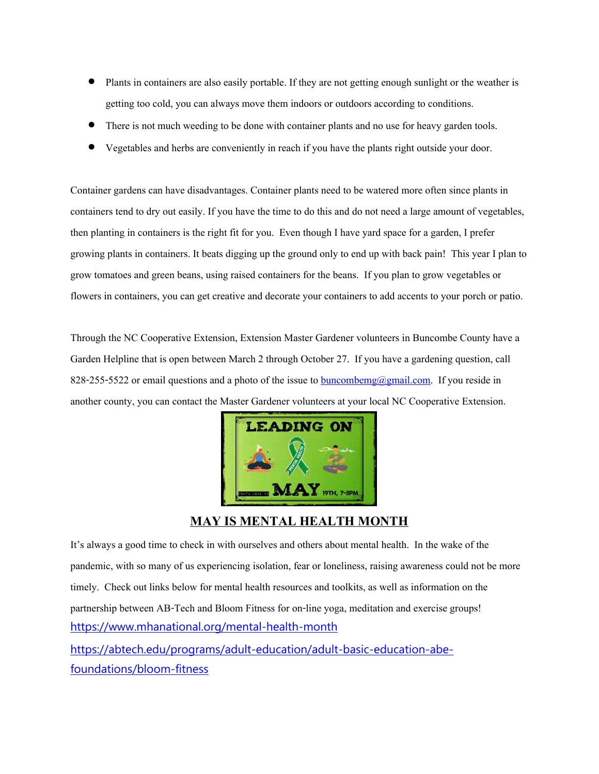- Plants in containers are also easily portable. If they are not getting enough sunlight or the weather is getting too cold, you can always move them indoors or outdoors according to conditions.
- There is not much weeding to be done with container plants and no use for heavy garden tools.
- Vegetables and herbs are conveniently in reach if you have the plants right outside your door.

Container gardens can have disadvantages. Container plants need to be watered more often since plants in containers tend to dry out easily. If you have the time to do this and do not need a large amount of vegetables, then planting in containers is the right fit for you. Even though I have yard space for a garden, I prefer growing plants in containers. It beats digging up the ground only to end up with back pain! This year I plan to grow tomatoes and green beans, using raised containers for the beans. If you plan to grow vegetables or flowers in containers, you can get creative and decorate your containers to add accents to your porch or patio.

Through the NC Cooperative Extension, Extension Master Gardener volunteers in Buncombe County have a Garden Helpline that is open between March 2 through October 27. If you have a gardening question, call 828-255-5522 or email questions and a photo of the issue to  $\frac{b$ uncombemg@gmail.com. If you reside in another county, you can contact the Master Gardener volunteers at your local NC Cooperative Extension.



#### **MAY IS MENTAL HEALTH MONTH**

It's always a good time to check in with ourselves and others about mental health. In the wake of the pandemic, with so many of us experiencing isolation, fear or loneliness, raising awareness could not be more timely. Check out links below for mental health resources and toolkits, as well as information on the partnership between AB-Tech and Bloom Fitness for on-line yoga, meditation and exercise groups! <https://www.mhanational.org/mental-health-month>

[https://abtech.edu/programs/adult-education/adult-basic-education-abe](https://abtech.edu/programs/adult-education/adult-basic-education-abe-foundations/bloom-fitness)[foundations/bloom-fitness](https://abtech.edu/programs/adult-education/adult-basic-education-abe-foundations/bloom-fitness)